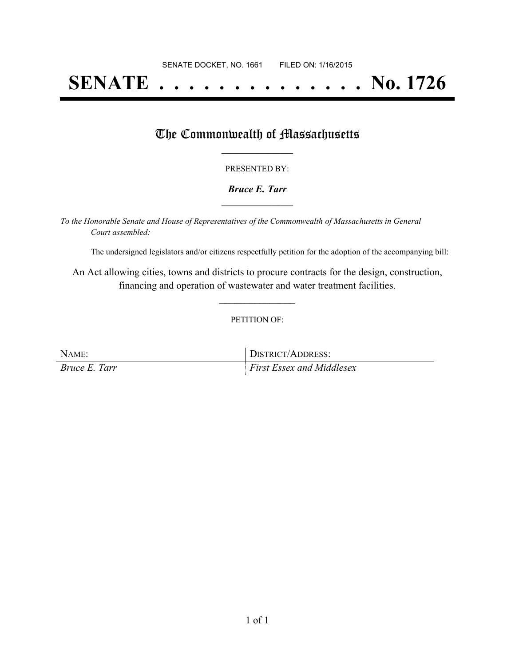# **SENATE . . . . . . . . . . . . . . No. 1726**

## The Commonwealth of Massachusetts

#### PRESENTED BY:

#### *Bruce E. Tarr* **\_\_\_\_\_\_\_\_\_\_\_\_\_\_\_\_\_**

*To the Honorable Senate and House of Representatives of the Commonwealth of Massachusetts in General Court assembled:*

The undersigned legislators and/or citizens respectfully petition for the adoption of the accompanying bill:

An Act allowing cities, towns and districts to procure contracts for the design, construction, financing and operation of wastewater and water treatment facilities.

**\_\_\_\_\_\_\_\_\_\_\_\_\_\_\_**

#### PETITION OF:

| NAME:         | DISTRICT/ADDRESS:                |
|---------------|----------------------------------|
| Bruce E. Tarr | <b>First Essex and Middlesex</b> |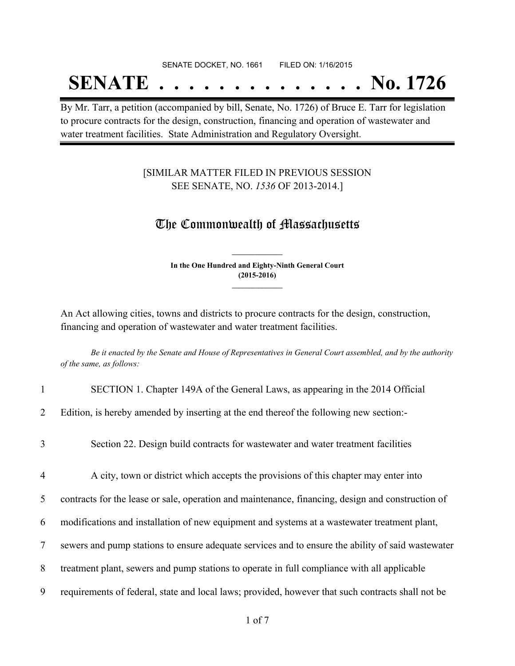#### SENATE DOCKET, NO. 1661 FILED ON: 1/16/2015

## **SENATE . . . . . . . . . . . . . . No. 1726**

By Mr. Tarr, a petition (accompanied by bill, Senate, No. 1726) of Bruce E. Tarr for legislation to procure contracts for the design, construction, financing and operation of wastewater and water treatment facilities. State Administration and Regulatory Oversight.

### [SIMILAR MATTER FILED IN PREVIOUS SESSION SEE SENATE, NO. *1536* OF 2013-2014.]

### The Commonwealth of Massachusetts

**In the One Hundred and Eighty-Ninth General Court (2015-2016) \_\_\_\_\_\_\_\_\_\_\_\_\_\_\_**

**\_\_\_\_\_\_\_\_\_\_\_\_\_\_\_**

An Act allowing cities, towns and districts to procure contracts for the design, construction, financing and operation of wastewater and water treatment facilities.

Be it enacted by the Senate and House of Representatives in General Court assembled, and by the authority *of the same, as follows:*

| $\mathbf{1}$   | SECTION 1. Chapter 149A of the General Laws, as appearing in the 2014 Official                    |
|----------------|---------------------------------------------------------------------------------------------------|
| $\overline{2}$ | Edition, is hereby amended by inserting at the end thereof the following new section:             |
| 3              | Section 22. Design build contracts for was tewater and water treatment facilities                 |
| 4              | A city, town or district which accepts the provisions of this chapter may enter into              |
| 5              | contracts for the lease or sale, operation and maintenance, financing, design and construction of |
| 6              | modifications and installation of new equipment and systems at a wastewater treatment plant,      |
| 7              | sewers and pump stations to ensure adequate services and to ensure the ability of said wastewater |
| 8              | treatment plant, sewers and pump stations to operate in full compliance with all applicable       |
| 9              | requirements of federal, state and local laws; provided, however that such contracts shall not be |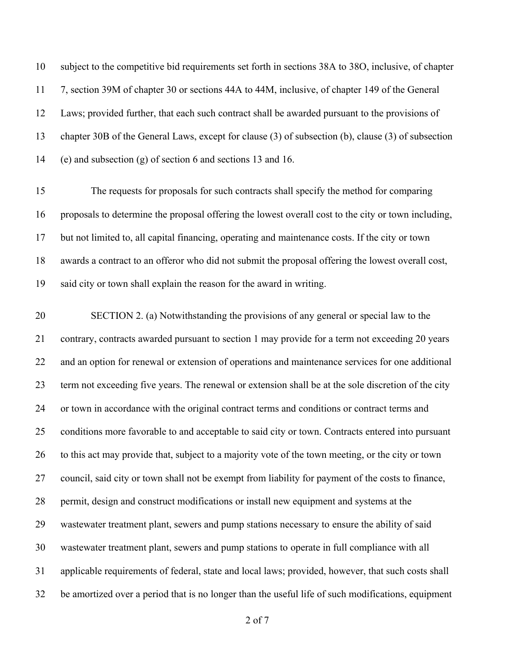subject to the competitive bid requirements set forth in sections 38A to 38O, inclusive, of chapter 7, section 39M of chapter 30 or sections 44A to 44M, inclusive, of chapter 149 of the General Laws; provided further, that each such contract shall be awarded pursuant to the provisions of chapter 30B of the General Laws, except for clause (3) of subsection (b), clause (3) of subsection (e) and subsection (g) of section 6 and sections 13 and 16.

 The requests for proposals for such contracts shall specify the method for comparing proposals to determine the proposal offering the lowest overall cost to the city or town including, but not limited to, all capital financing, operating and maintenance costs. If the city or town awards a contract to an offeror who did not submit the proposal offering the lowest overall cost, said city or town shall explain the reason for the award in writing.

 SECTION 2. (a) Notwithstanding the provisions of any general or special law to the contrary, contracts awarded pursuant to section 1 may provide for a term not exceeding 20 years and an option for renewal or extension of operations and maintenance services for one additional term not exceeding five years. The renewal or extension shall be at the sole discretion of the city or town in accordance with the original contract terms and conditions or contract terms and conditions more favorable to and acceptable to said city or town. Contracts entered into pursuant to this act may provide that, subject to a majority vote of the town meeting, or the city or town council, said city or town shall not be exempt from liability for payment of the costs to finance, permit, design and construct modifications or install new equipment and systems at the wastewater treatment plant, sewers and pump stations necessary to ensure the ability of said wastewater treatment plant, sewers and pump stations to operate in full compliance with all applicable requirements of federal, state and local laws; provided, however, that such costs shall be amortized over a period that is no longer than the useful life of such modifications, equipment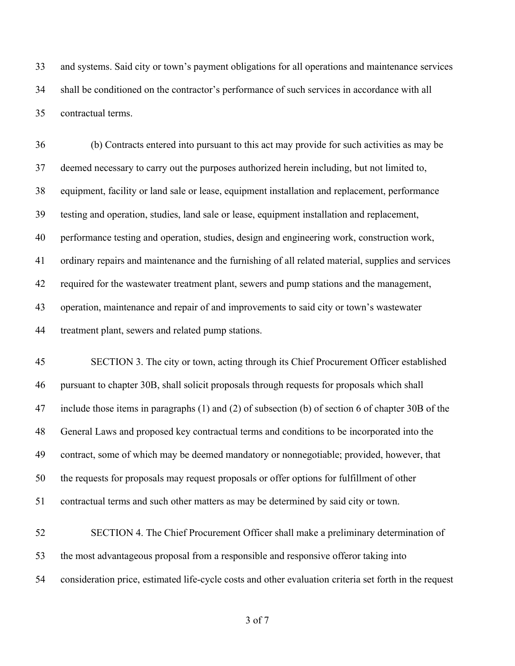and systems. Said city or town's payment obligations for all operations and maintenance services shall be conditioned on the contractor's performance of such services in accordance with all contractual terms.

 (b) Contracts entered into pursuant to this act may provide for such activities as may be deemed necessary to carry out the purposes authorized herein including, but not limited to, equipment, facility or land sale or lease, equipment installation and replacement, performance testing and operation, studies, land sale or lease, equipment installation and replacement, performance testing and operation, studies, design and engineering work, construction work, ordinary repairs and maintenance and the furnishing of all related material, supplies and services required for the wastewater treatment plant, sewers and pump stations and the management, operation, maintenance and repair of and improvements to said city or town's wastewater treatment plant, sewers and related pump stations.

 SECTION 3. The city or town, acting through its Chief Procurement Officer established pursuant to chapter 30B, shall solicit proposals through requests for proposals which shall include those items in paragraphs (1) and (2) of subsection (b) of section 6 of chapter 30B of the General Laws and proposed key contractual terms and conditions to be incorporated into the contract, some of which may be deemed mandatory or nonnegotiable; provided, however, that the requests for proposals may request proposals or offer options for fulfillment of other contractual terms and such other matters as may be determined by said city or town.

 SECTION 4. The Chief Procurement Officer shall make a preliminary determination of the most advantageous proposal from a responsible and responsive offeror taking into consideration price, estimated life-cycle costs and other evaluation criteria set forth in the request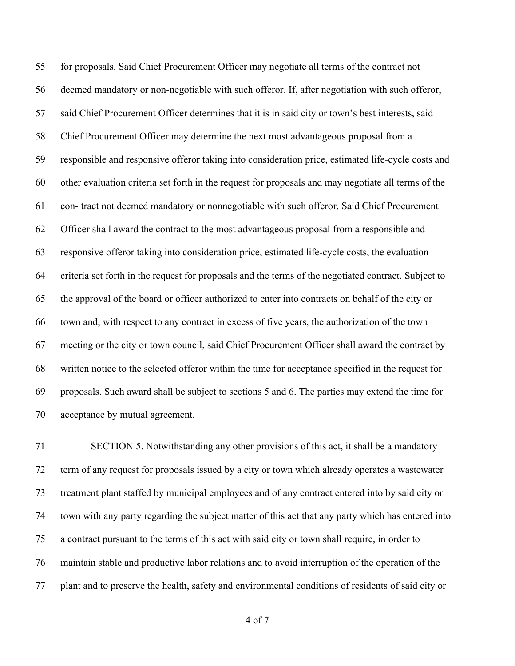for proposals. Said Chief Procurement Officer may negotiate all terms of the contract not deemed mandatory or non-negotiable with such offeror. If, after negotiation with such offeror, said Chief Procurement Officer determines that it is in said city or town's best interests, said Chief Procurement Officer may determine the next most advantageous proposal from a responsible and responsive offeror taking into consideration price, estimated life-cycle costs and other evaluation criteria set forth in the request for proposals and may negotiate all terms of the con- tract not deemed mandatory or nonnegotiable with such offeror. Said Chief Procurement Officer shall award the contract to the most advantageous proposal from a responsible and responsive offeror taking into consideration price, estimated life-cycle costs, the evaluation criteria set forth in the request for proposals and the terms of the negotiated contract. Subject to the approval of the board or officer authorized to enter into contracts on behalf of the city or town and, with respect to any contract in excess of five years, the authorization of the town meeting or the city or town council, said Chief Procurement Officer shall award the contract by written notice to the selected offeror within the time for acceptance specified in the request for proposals. Such award shall be subject to sections 5 and 6. The parties may extend the time for acceptance by mutual agreement.

 SECTION 5. Notwithstanding any other provisions of this act, it shall be a mandatory term of any request for proposals issued by a city or town which already operates a wastewater treatment plant staffed by municipal employees and of any contract entered into by said city or town with any party regarding the subject matter of this act that any party which has entered into a contract pursuant to the terms of this act with said city or town shall require, in order to maintain stable and productive labor relations and to avoid interruption of the operation of the plant and to preserve the health, safety and environmental conditions of residents of said city or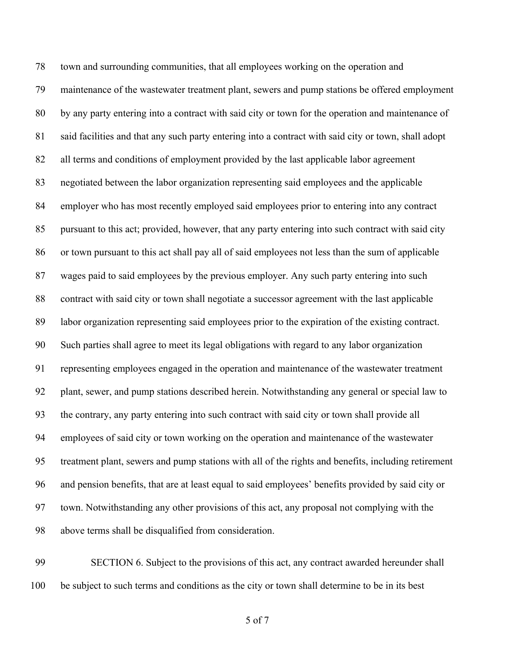town and surrounding communities, that all employees working on the operation and maintenance of the wastewater treatment plant, sewers and pump stations be offered employment by any party entering into a contract with said city or town for the operation and maintenance of said facilities and that any such party entering into a contract with said city or town, shall adopt all terms and conditions of employment provided by the last applicable labor agreement negotiated between the labor organization representing said employees and the applicable employer who has most recently employed said employees prior to entering into any contract pursuant to this act; provided, however, that any party entering into such contract with said city or town pursuant to this act shall pay all of said employees not less than the sum of applicable wages paid to said employees by the previous employer. Any such party entering into such contract with said city or town shall negotiate a successor agreement with the last applicable labor organization representing said employees prior to the expiration of the existing contract. Such parties shall agree to meet its legal obligations with regard to any labor organization representing employees engaged in the operation and maintenance of the wastewater treatment plant, sewer, and pump stations described herein. Notwithstanding any general or special law to the contrary, any party entering into such contract with said city or town shall provide all employees of said city or town working on the operation and maintenance of the wastewater treatment plant, sewers and pump stations with all of the rights and benefits, including retirement and pension benefits, that are at least equal to said employees' benefits provided by said city or town. Notwithstanding any other provisions of this act, any proposal not complying with the above terms shall be disqualified from consideration.

 SECTION 6. Subject to the provisions of this act, any contract awarded hereunder shall be subject to such terms and conditions as the city or town shall determine to be in its best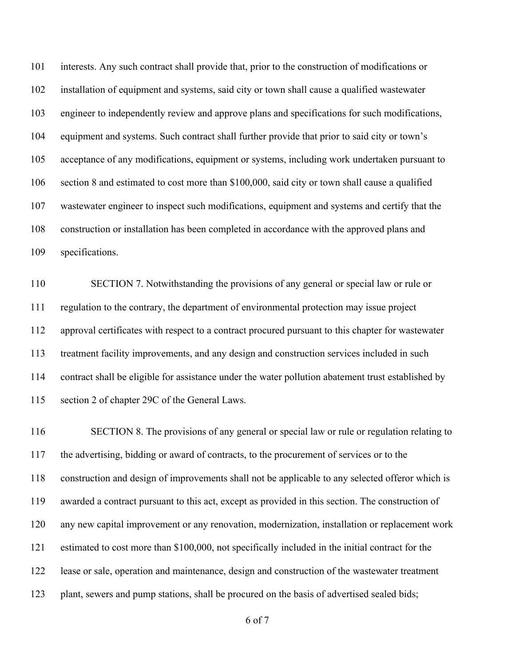interests. Any such contract shall provide that, prior to the construction of modifications or installation of equipment and systems, said city or town shall cause a qualified wastewater engineer to independently review and approve plans and specifications for such modifications, equipment and systems. Such contract shall further provide that prior to said city or town's acceptance of any modifications, equipment or systems, including work undertaken pursuant to section 8 and estimated to cost more than \$100,000, said city or town shall cause a qualified wastewater engineer to inspect such modifications, equipment and systems and certify that the construction or installation has been completed in accordance with the approved plans and specifications.

 SECTION 7. Notwithstanding the provisions of any general or special law or rule or regulation to the contrary, the department of environmental protection may issue project approval certificates with respect to a contract procured pursuant to this chapter for wastewater treatment facility improvements, and any design and construction services included in such contract shall be eligible for assistance under the water pollution abatement trust established by section 2 of chapter 29C of the General Laws.

116 SECTION 8. The provisions of any general or special law or rule or regulation relating to the advertising, bidding or award of contracts, to the procurement of services or to the construction and design of improvements shall not be applicable to any selected offeror which is awarded a contract pursuant to this act, except as provided in this section. The construction of any new capital improvement or any renovation, modernization, installation or replacement work estimated to cost more than \$100,000, not specifically included in the initial contract for the lease or sale, operation and maintenance, design and construction of the wastewater treatment 123 plant, sewers and pump stations, shall be procured on the basis of advertised sealed bids;